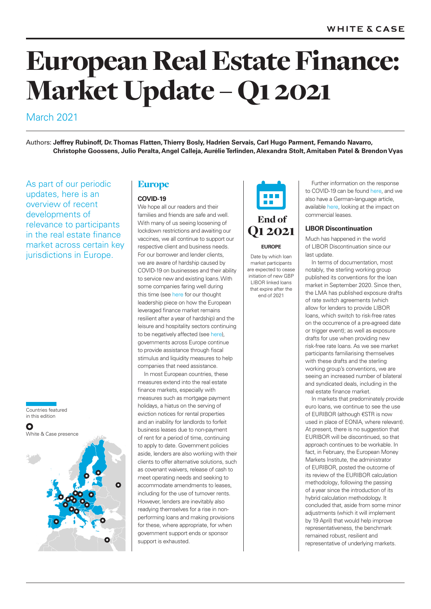# European Real Estate Finance: Market Update – Q1 2021

# March 2021

Authors: **Jeffrey Rubinoff, Dr. Thomas Flatten, Thierry Bosly, Hadrien Servais, Carl Hugo Parment, Fernando Navarro, Christophe Goossens, Julio Peralta, Angel Calleja, Aurélie Terlinden, Alexandra Stolt, Amitaben Patel & Brendon Vyas**

As part of our periodic updates, here is an overview of recent developments of relevance to participants in the real estate finance market across certain key jurisdictions in Europe.



# Europe

# **COVID-19**

We hope all our readers and their families and friends are safe and well. With many of us seeing loosening of lockdown restrictions and awaiting our vaccines, we all continue to support our respective client and business needs. For our borrower and lender clients, we are aware of hardship caused by COVID-19 on businesses and their ability to service new and existing loans. With some companies faring well during this time (see here for our thought leadership piece on how the European leveraged finance market remains resilient after a year of hardship) and the leisure and hospitality sectors continuing to be negatively affected (see here), governments across Europe continue to provide assistance through fiscal stimulus and liquidity measures to help companies that need assistance.

In most European countries, these measures extend into the real estate finance markets, especially with measures such as mortgage payment holidays, a hiatus on the serving of eviction notices for rental properties and an inability for landlords to forfeit business leases due to non-payment of rent for a period of time, continuing to apply to date. Government policies aside, lenders are also working with their clients to offer alternative solutions, such as covenant waivers, release of cash to meet operating needs and seeking to accommodate amendments to leases, including for the use of turnover rents. However, lenders are inevitably also readying themselves for a rise in nonperforming loans and making provisions for these, where appropriate, for when government support ends or sponsor support is exhausted.



# Q1 2021 **EUROPE**

Date by which loan market participants are expected to cease initiation of new GBP LIBOR linked loans that expire after the

end of 2021

Further information on the response to COVID-19 can be found here, and we also have a German-language article, available here, looking at the impact on commercial leases.

# **LIBOR Discontinuation**

Much has happened in the world of LIBOR Discontinuation since our last update.

In terms of documentation, most notably, the sterling working group published its conventions for the loan market in September 2020. Since then, the LMA has published exposure drafts of rate switch agreements (which allow for lenders to provide LIBOR loans, which switch to risk-free rates on the occurrence of a pre-agreed date or trigger event); as well as exposure drafts for use when providing new risk-free rate loans. As we see market participants familiarising themselves with these drafts and the sterling working group's conventions, we are seeing an increased number of bilateral and syndicated deals, including in the real estate finance market.

In markets that predominately provide euro loans, we continue to see the use of EURIBOR (although €STR is now used in place of EONIA, where relevant). At present, there is no suggestion that EURIBOR will be discontinued, so that approach continues to be workable. In fact, in February, the European Money Markets Institute, the administrator of EURIBOR, posted the outcome of its review of the EURIBOR calculation methodology, following the passing of a year since the introduction of its hybrid calculation methodology. It concluded that, aside from some minor adjustments (which it will implement by 19 April) that would help improve representativeness, the benchmark remained robust, resilient and representative of underlying markets.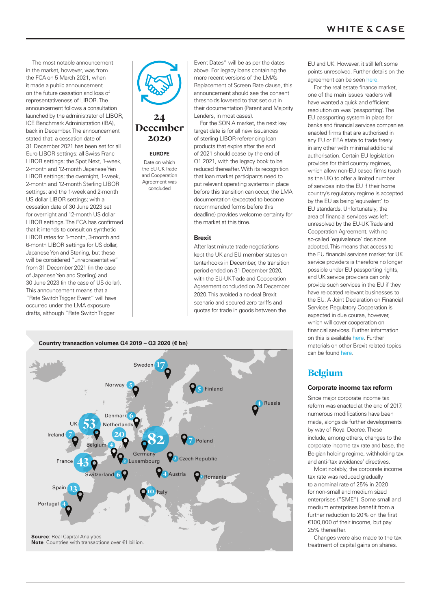# **WHITE & CASE**

The most notable announcement in the market, however, was from the FCA on 5 March 2021, when it made a public announcement on the future cessation and loss of representativeness of LIBOR. The announcement follows a consultation launched by the administrator of LIBOR, ICE Benchmark Administration (IBA), back in December. The announcement stated that: a cessation date of 31 December 2021 has been set for all Euro LIBOR settings; all Swiss Franc LIBOR settings; the Spot Next, 1-week, 2-month and 12-month Japanese Yen LIBOR settings; the overnight, 1-week, 2-month and 12-month Sterling LIBOR settings; and the 1-week and 2-month US dollar LIBOR settings; with a cessation date of 30 June 2023 set for overnight and 12-month US dollar LIBOR settings. The FCA has confirmed that it intends to consult on synthetic LIBOR rates for 1-month, 3-month and 6-month LIBOR settings for US dollar, Japanese Yen and Sterling, but these will be considered "unrepresentative" from 31 December 2021 (in the case of Japanese Yen and Sterling) and 30 June 2023 (in the case of US dollar). This announcement means that a "Rate Switch Trigger Event" will have occurred under the LMA exposure drafts, although "Rate Switch Trigger



# December 2020

24

### **EUROPE**

Date on which the EU-UK Trade and Cooperation Agreement was concluded

Event Dates" will be as per the dates above. For legacy loans containing the more recent versions of the LMA's Replacement of Screen Rate clause, this announcement should see the consent thresholds lowered to that set out in their documentation (Parent and Majority Lenders, in most cases).

For the SONIA market, the next key target date is for all new issuances of sterling LIBOR-referencing loan products that expire after the end of 2021 should cease by the end of Q1 2021, with the legacy book to be reduced thereafter. With its recognition that loan market participants need to put relevant operating systems in place before this transition can occur, the LMA documentation (expected to become recommended forms before this deadline) provides welcome certainty for the market at this time.

### **Brexit**

After last minute trade negotiations kept the UK and EU member states on tenterhooks in December, the transition period ended on 31 December 2020, with the EU-UK Trade and Cooperation Agreement concluded on 24 December 2020. This avoided a no-deal Brexit scenario and secured zero tariffs and quotas for trade in goods between the



EU and UK. However, it still left some points unresolved. Further details on the agreement can be seen here.

For the real estate finance market, one of the main issues readers will have wanted a quick and efficient resolution on was 'passporting'. The EU passporting system in place for banks and financial services companies enabled firms that are authorised in any EU or EEA state to trade freely in any other with minimal additional authorisation. Certain EU legislation provides for third country regimes, which allow non-EU based firms (such as the UK) to offer a limited number of services into the EU if their home country's regulatory regime is accepted by the EU as being 'equivalent' to EU standards. Unfortunately, the area of financial services was left unresolved by the EU-UK Trade and Cooperation Agreement, with no so-called 'equivalence' decisions adopted. This means that access to the EU financial services market for UK service providers is therefore no longer possible under EU passporting rights, and UK service providers can only provide such services in the EU if they have relocated relevant businesses to the EU. A Joint Declaration on Financial Services Regulatory Cooperation is expected in due course, however, which will cover cooperation on financial services. Further information on this is available here. Further materials on other Brexit related topics can be found here.

# Belgium

# **Corporate income tax reform**

Since major corporate income tax reform was enacted at the end of 2017, numerous modifications have been made, alongside further developments by way of Royal Decree. These include, among others, changes to the corporate income tax rate and base, the Belgian holding regime, withholding tax and anti-'tax avoidance' directives.

Most notably, the corporate income tax rate was reduced gradually to a nominal rate of 25% in 2020 for non-small and medium sized enterprises ("SME"). Some small and medium enterprises benefit from a further reduction to 20% on the first €100,000 of their income, but pay 25% thereafter.

Changes were also made to the tax treatment of capital gains on shares.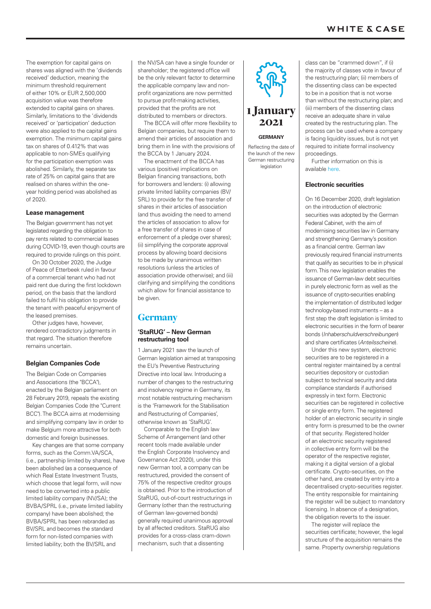The exemption for capital gains on shares was aligned with the 'dividends received' deduction, meaning the minimum threshold requirement of either 10% or EUR 2,500,000 acquisition value was therefore extended to capital gains on shares. Similarly, limitations to the 'dividends received' or 'participation' deduction were also applied to the capital gains exemption. The minimum capital gains tax on shares of 0.412% that was applicable to non-SMEs qualifying for the participation exemption was abolished. Similarly, the separate tax rate of 25% on capital gains that are realised on shares within the oneyear holding period was abolished as of 2020.

# **Lease management**

The Belgian government has not yet legislated regarding the obligation to pay rents related to commercial leases during COVID-19, even though courts are required to provide rulings on this point.

On 30 October 2020, the Judge of Peace of Etterbeek ruled in favour of a commercial tenant who had not paid rent due during the first lockdown period, on the basis that the landlord failed to fulfil his obligation to provide the tenant with peaceful enjoyment of the leased premises.

Other judges have, however, rendered contradictory judgments in that regard. The situation therefore remains uncertain.

# **Belgian Companies Code**

The Belgian Code on Companies and Associations (the "BCCA"), enacted by the Belgian parliament on 28 February 2019, repeals the existing Belgian Companies Code (the "Current BCC"). The BCCA aims at modernising and simplifying company law in order to make Belgium more attractive for both domestic and foreign businesses.

Key changes are that some company forms, such as the Comm.VA/SCA, (i.e., partnership limited by shares), have been abolished (as a consequence of which Real Estate Investment Trusts which choose that legal form, will now need to be converted into a public limited liability company (NV/SA); the BVBA/SPRL (i.e., private limited liability company) have been abolished; the BVBA/SPRL has been rebranded as BV/SRL and becomes the standard form for non-listed companies with limited liability; both the BV/SRL and

the NV/SA can have a single founder or shareholder; the registered office will be the only relevant factor to determine the applicable company law and nonprofit organizations are now permitted to pursue profit-making activities, provided that the profits are not distributed to members or directors.

The BCCA will offer more flexibility to Belgian companies, but require them to amend their articles of association and bring them in line with the provisions of the BCCA by 1 January 2024.

The enactment of the BCCA has various (positive) implications on Belgian financing transactions, both for borrowers and lenders: (i) allowing private limited liability companies (BV/ SRL) to provide for the free transfer of shares in their articles of association (and thus avoiding the need to amend the articles of association to allow for a free transfer of shares in case of enforcement of a pledge over shares); (ii) simplifying the corporate approval process by allowing board decisions to be made by unanimous written resolutions (unless the articles of association provide otherwise); and (iii) clarifying and simplifying the conditions which allow for financial assistance to be given.

# **Germany**

# **'StaRUG' – New German restructuring tool**

1 January 2021 saw the launch of German legislation aimed at transposing the EU's Preventive Restructuring Directive into local law. Introducing a number of changes to the restructuring and insolvency regime in Germany, its most notable restructuring mechanism is the 'Framework for the Stabilisation and Restructuring of Companies', otherwise known as 'StaRUG'.

Comparable to the English law Scheme of Arrangement (and other recent tools made available under the English Corporate Insolvency and Governance Act 2020), under this new German tool, a company can be restructured, provided the consent of 75% of the respective creditor groups is obtained. Prior to the introduction of StaRUG, out-of-court restructurings in Germany (other than the restructuring of German law-governed bonds) generally required unanimous approval by all affected creditors. StaRUG also provides for a cross-class cram-down mechanism, such that a dissenting



**GERMANY**

Reflecting the date of the launch of the new German restructuring legislation

class can be "crammed down", if (i) the majority of classes vote in favour of the restructuring plan; (ii) members of the dissenting class can be expected to be in a position that is not worse than without the restructuring plan; and (iii) members of the dissenting class receive an adequate share in value created by the restructuring plan. The process can be used where a company is facing liquidity issues, but is not yet required to initiate formal insolvency proceedings.

Further information on this is available here.

### **Electronic securities**

On 16 December 2020, draft legislation on the introduction of electronic securities was adopted by the German Federal Cabinet, with the aim of modernising securities law in Germany and strengthening Germany's position as a financial centre. German law previously required financial instruments that qualify as securities to be in physical form. This new legislation enables the issuance of German-law debt securities in purely electronic form as well as the issuance of crypto-securities enabling the implementation of distributed ledger technology-based instruments – as a first step the draft legislation is limited to electronic securities in the form of bearer bonds (*Inhaberschuldverschreibungen*) and share certificates (*Anteilsscheine*).

Under this new system, electronic securities are to be registered in a central register maintained by a central securities depository or custodian subject to technical security and data compliance standards if authorised expressly in text form. Electronic securities can be registered in collective or single entry form. The registered holder of an electronic security in single entry form is presumed to be the owner of that security. Registered holder of an electronic security registered in collective entry form will be the operator of the respective register, making it a digital version of a global certificate. Crypto-securities, on the other hand, are created by entry into a decentralised crypto-securities register. The entity responsible for maintaining the register will be subject to mandatory licensing. In absence of a designation, the obligation reverts to the issuer.

The register will replace the securities certificate; however, the legal structure of the acquisition remains the same. Property ownership regulations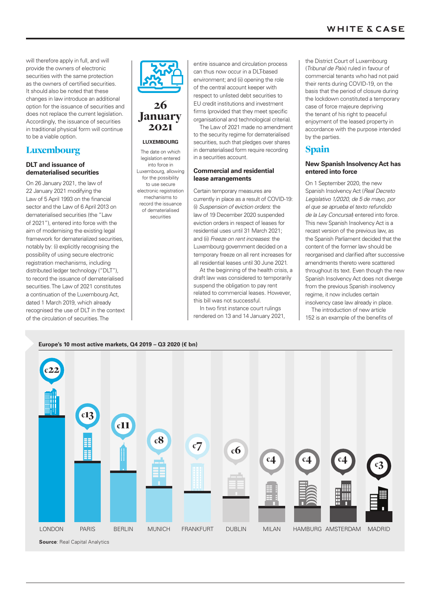will therefore apply in full, and will provide the owners of electronic securities with the same protection as the owners of certified securities. It should also be noted that these changes in law introduce an additional option for the issuance of securities and does not replace the current legislation. Accordingly, the issuance of securities in traditional physical form will continue to be a viable option.

# Luxembourg

# **DLT and issuance of dematerialised securities**

On 26 January 2021, the law of 22 January 2021 modifying the Law of 5 April 1993 on the financial sector and the Law of 6 April 2013 on dematerialised securities (the "Law of 2021"), entered into force with the aim of modernising the existing legal framework for dematerialized securities, notably by: (i) explicitly recognising the possibility of using secure electronic registration mechanisms, including distributed ledger technology ("DLT"), to record the issuance of dematerialised securities. The Law of 2021 constitutes a continuation of the Luxembourg Act, dated 1 March 2019, which already recognised the use of DLT in the context of the circulation of securities. The



# 26 January 2021

# **LUXEMBOURG**

The date on which legislation entered into force in Luxembourg, allowing for the possibility to use secure electronic registration mechanisms to record the issuance of dematerialised

securities

entire issuance and circulation process can thus now occur in a DLT-based environment; and (ii) opening the role of the central account keeper with respect to unlisted debt securities to EU credit institutions and investment firms (provided that they meet specific organisational and technological criteria).

The Law of 2021 made no amendment to the security regime for dematerialised securities, such that pledges over shares in dematerialised form require recording in a securities account.

# **Commercial and residential lease arrangements**

Certain temporary measures are currently in place as a result of COVID-19: (i) *Suspension of eviction orders*: the law of 19 December 2020 suspended eviction orders in respect of leases for residential uses until 31 March 2021; and (ii) *Freeze on rent increases*: the Luxembourg government decided on a temporary freeze on all rent increases for all residential leases until 30 June 2021.

At the beginning of the health crisis, a draft law was considered to temporarily suspend the obligation to pay rent related to commercial leases. However, this bill was not successful.

In two first instance court rulings rendered on 13 and 14 January 2021, the District Court of Luxembourg (*Tribunal de Paix*) ruled in favour of commercial tenants who had not paid their rents during COVID-19, on the basis that the period of closure during the lockdown constituted a temporary case of force majeure depriving the tenant of his right to peaceful enjoyment of the leased property in accordance with the purpose intended by the parties.

# Spain

# **New Spanish Insolvency Act has entered into force**

On 1 September 2020, the new Spanish Insolvency Act (*Real Decreto Legislativo 1/2020, de 5 de mayo, por el que se aprueba el texto refundido de la Ley Concursal*) entered into force. This new Spanish Insolvency Act is a recast version of the previous law, as the Spanish Parliament decided that the content of the former law should be reorganised and clarified after successive amendments thereto were scattered throughout its text. Even though the new Spanish Insolvency Act does not diverge from the previous Spanish insolvency regime, it now includes certain

insolvency case law already in place. The introduction of new article 152 is an example of the benefits of

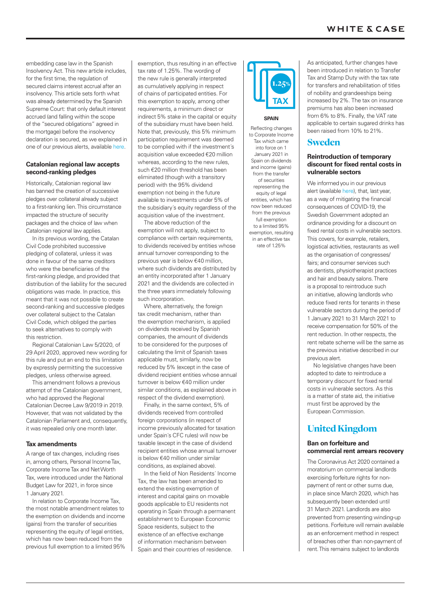embedding case law in the Spanish Insolvency Act. This new article includes, for the first time, the regulation of secured claims interest accrual after an insolvency. This article sets forth what was already determined by the Spanish Supreme Court: that only default interest accrued (and falling within the scope of the "secured obligations" agreed in the mortgage) before the insolvency declaration is secured, as we explained in one of our previous alerts, available here.

### **Catalonian regional law accepts second-ranking pledges**

Historically, Catalonian regional law has banned the creation of successive pledges over collateral already subject to a first-ranking lien. This circumstance impacted the structure of security packages and the choice of law when Catalonian regional law applies.

In its previous wording, the Catalan Civil Code prohibited successive pledging of collateral, unless it was done in favour of the same creditors who were the beneficiaries of the first-ranking pledge, and provided that distribution of the liability for the secured obligations was made. In practice, this meant that it was not possible to create second-ranking and successive pledges over collateral subject to the Catalan Civil Code, which obliged the parties to seek alternatives to comply with this restriction.

Regional Catalonian Law 5/2020, of 29 April 2020, approved new wording for this rule and put an end to this limitation by expressly permitting the successive pledges, unless otherwise agreed.

This amendment follows a previous attempt of the Catalonian government, who had approved the Regional Catalonian Decree Law 9/2019 in 2019. However, that was not validated by the Catalonian Parliament and, consequently, it was repealed only one month later.

# **Tax amendments**

A range of tax changes, including rises in, among others, Personal Income Tax, Corporate Income Tax and Net Worth Tax, were introduced under the National Budget Law for 2021, in force since 1 January 2021.

In relation to Corporate Income Tax, the most notable amendment relates to the exemption on dividends and income (gains) from the transfer of securities representing the equity of legal entities, which has now been reduced from the previous full exemption to a limited 95% exemption, thus resulting in an effective tax rate of 1.25%. The wording of the new rule is generally interpreted as cumulatively applying in respect of chains of participated entities. For this exemption to apply, among other requirements, a minimum direct or indirect 5% stake in the capital or equity of the subsidiary must have been held. Note that, previously, this 5% minimum participation requirement was deemed to be complied with if the investment´s acquisition value exceeded €20 million whereas, according to the new rules, such €20 million threshold has been eliminated (though with a transitory period) with the 95% dividend exemption not being in the future available to investments under 5% of the subsidiary´s equity regardless of the acquisition value of the investment.

The above reduction of the exemption will not apply, subject to compliance with certain requirements, to dividends received by entities whose annual turnover corresponding to the previous year is below €40 million, where such dividends are distributed by an entity incorporated after 1 January 2021 and the dividends are collected in the three years immediately following such incorporation.

Where, alternatively, the foreign tax credit mechanism, rather than the exemption mechanism, is applied on dividends received by Spanish companies, the amount of dividends to be considered for the purposes of calculating the limit of Spanish taxes applicable must, similarly, now be reduced by 5% (except in the case of dividend recipient entities whose annual turnover is below €40 million under similar conditions, as explained above in respect of the dividend exemption).

Finally, in the same context, 5% of dividends received from controlled foreign corporations (in respect of income previously allocated for taxation under Spain´s CFC rules) will now be taxable (except in the case of dividend recipient entities whose annual turnover is below €40 million under similar conditions, as explained above).

In the field of Non Residents´ Income Tax, the law has been amended to extend the existing exemption of interest and capital gains on movable goods applicable to EU residents not operating in Spain through a permanent establishment to European Economic Space residents, subject to the existence of an effective exchange of information mechanism between Spain and their countries of residence.



### **SPAIN**

Reflecting changes to Corporate Income Tax which came into force on 1 January 2021 in Spain on dividends and income (gains) from the transfer of securities representing the equity of legal entities, which has now been reduced from the previous full exemption to a limited 95% exemption, resulting in an effective tax rate of 1.25%

As anticipated, further changes have been introduced in relation to Transfer Tax and Stamp Duty with the tax rate for transfers and rehabilitation of titles of nobility and grandeeships being increased by 2%. The tax on insurance premiums has also been increased from 6% to 8%. Finally, the VAT rate applicable to certain sugared drinks has been raised from 10% to 21%.

# Sweden

# **Reintroduction of temporary discount for fixed rental costs in vulnerable sectors**

We informed you in our previous alert (available here), that, last year, as a way of mitigating the financial consequences of COVID-19, the Swedish Government adopted an ordinance providing for a discount on fixed rental costs in vulnerable sectors. This covers, for example, retailers, logistical activities, restaurants as well as the organisation of congresses/ fairs; and consumer services such as dentists, physiotherapist practices and hair and beauty salons. There is a proposal to reintroduce such an initiative, allowing landlords who reduce fixed rents for tenants in these vulnerable sectors during the period of 1 January 2021 to 31 March 2021 to receive compensation for 50% of the rent reduction. In other respects, the rent rebate scheme will be the same as the previous initiative described in our previous alert.

No legislative changes have been adopted to date to reintroduce a temporary discount for fixed rental costs in vulnerable sectors. As this is a matter of state aid, the initiative must first be approved by the European Commission.

# United Kingdom

# **Ban on forfeiture and commercial rent arrears recovery**

The Coronavirus Act 2020 contained a moratorium on commercial landlords exercising forfeiture rights for nonpayment of rent or other sums due, in place since March 2020, which has subsequently been extended until 31 March 2021. Landlords are also prevented from presenting winding-up petitions. Forfeiture will remain available as an enforcement method in respect of breaches other than non-payment of rent. This remains subject to landlords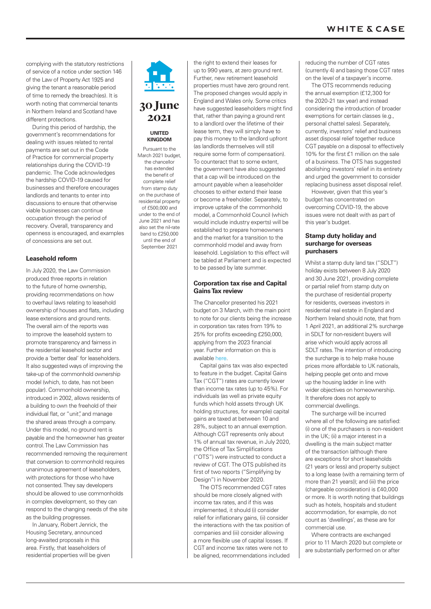complying with the statutory restrictions of service of a notice under section 146 of the Law of Property Act 1925 and giving the tenant a reasonable period of time to remedy the breach(es). It is worth noting that commercial tenants in Northern Ireland and Scotland have different protections.

During this period of hardship, the government's recommendations for dealing with issues related to rental payments are set out in the Code of Practice for commercial property relationships during the COVID-19 pandemic. The Code acknowledges the hardship COVID-19 caused for businesses and therefore encourages landlords and tenants to enter into discussions to ensure that otherwise viable businesses can continue occupation through the period of recovery. Overall, transparency and openness is encouraged, and examples of concessions are set out.

# **Leasehold reform**

In July 2020, the Law Commission produced three reports in relation to the future of home ownership, providing recommendations on how to overhaul laws relating to leasehold ownership of houses and flats, including lease extensions and ground rents. The overall aim of the reports was to improve the leasehold system to promote transparency and fairness in the residential leasehold sector and provide a 'better deal' for leaseholders. It also suggested ways of improving the take-up of the commonhold ownership model (which, to date, has not been popular). Commonhold ownership, introduced in 2002, allows residents of a building to own the freehold of their individual flat, or "unit", and manage the shared areas through a company. Under this model, no ground rent is payable and the homeowner has greater control. The Law Commission has recommended removing the requirement that conversion to commonhold requires unanimous agreement of leaseholders, with protections for those who have not consented. They say developers should be allowed to use commonholds in complex development, so they can respond to the changing needs of the site as the building progresses.

In January, Robert Jenrick, the Housing Secretary, announced long-awaited proposals in this area. Firstly, that leaseholders of residential properties will be given

30 June 2021

### **UNITED KINGDOM** Pursuant to the

March 2021 budget the chancellor has extended the benefit of complete relief from stamp duty on the purchase of residential property of £500,000 and under to the end of June 2021 and has also set the nil-rate band to £250,000 until the end of Sentember 2021

Further, new retirement leasehold properties must have zero ground rent. The proposed changes would apply in England and Wales only. Some critics have suggested leaseholders might find that, rather than paying a ground rent to a landlord over the lifetime of their lease term, they will simply have to pay this money to the landlord upfront (as landlords themselves will still require some form of compensation). To counteract that to some extent, the government have also suggested that a cap will be introduced on the amount payable when a leaseholder chooses to either extend their lease or become a freeholder. Separately, to improve uptake of the commonhold model, a Commonhold Council (which would include industry experts) will be established to prepare homeowners and the market for a transition to the commonhold model and away from leasehold. Legislation to this effect will be tabled at Parliament and is expected to be passed by late summer.

the right to extend their leases for up to 990 years, at zero ground rent.

# **Corporation tax rise and Capital Gains Tax review**

The Chancellor presented his 2021 budget on 3 March, with the main point to note for our clients being the increase in corporation tax rates from 19% to 25% for profits exceeding £250,000, applying from the 2023 financial year. Further information on this is available here.

Capital gains tax was also expected to feature in the budget. Capital Gains Tax ("CGT") rates are currently lower than income tax rates (up to 45%). For individuals (as well as private equity funds which hold assets through UK holding structures, for example) capital gains are taxed at between 10 and 28%, subject to an annual exemption. Although CGT represents only about 1% of annual tax revenue, in July 2020, the Office of Tax Simplifications ("OTS") were instructed to conduct a review of CGT. The OTS published its first of two reports ("Simplifying by Design") in November 2020.

The OTS recommended CGT rates should be more closely aligned with income tax rates, and if this was implemented, it should (i) consider relief for inflationary gains, (ii) consider the interactions with the tax position of companies and (iii) consider allowing a more flexible use of capital losses. If CGT and income tax rates were not to be aligned, recommendations included

reducing the number of CGT rates (currently 4) and basing those CGT rates on the level of a taxpayer's income.

The OTS recommends reducing the annual exemption (£12,300 for the 2020-21 tax year) and instead considering the introduction of broader exemptions for certain classes (e.g., personal chattel sales). Separately, currently, investors' relief and business asset disposal relief together reduce CGT payable on a disposal to effectively 10% for the first £1 million on the sale of a business. The OTS has suggested abolishing investors' relief in its entirety and urged the government to consider replacing business asset disposal relief.

However, given that this year's budget has concentrated on overcoming COVID-19, the above issues were not dealt with as part of this year's budget.

# **Stamp duty holiday and surcharge for overseas purchasers**

Whilst a stamp duty land tax ("SDLT") holiday exists between 8 July 2020 and 30 June 2021, providing complete or partial relief from stamp duty on the purchase of residential property for residents, overseas investors in residential real estate in England and Northern Ireland should note, that from 1 April 2021, an additional 2% surcharge in SDLT for non-resident buyers will arise which would apply across all SDLT rates. The intention of introducing the surcharge is to help make house prices more affordable to UK nationals, helping people get onto and move up the housing ladder in line with wider objectives on homeownership. It therefore does not apply to commercial dwellings.

The surcharge will be incurred where all of the following are satisfied: (i) one of the purchasers is non-resident in the UK; (ii) a major interest in a dwelling is the main subject matter of the transaction (although there are exceptions for short leaseholds (21 years or less) and property subject to a long lease (with a remaining term of more than 21 years)); and (iii) the price (chargeable consideration) is £40,000 or more. It is worth noting that buildings such as hotels, hospitals and student accommodation, for example, do not count as 'dwellings', as these are for commercial use.

Where contracts are exchanged prior to 11 March 2020 but complete or are substantially performed on or after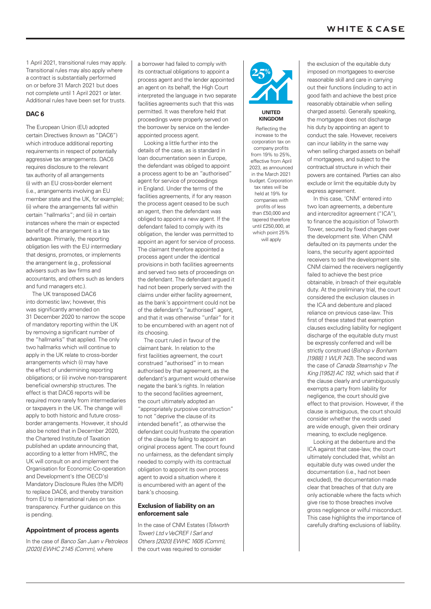1 April 2021, transitional rules may apply. Transitional rules may also apply where a contract is substantially performed on or before 31 March 2021 but does not complete until 1 April 2021 or later. Additional rules have been set for trusts.

# **DAC 6**

The European Union (EU) adopted certain Directives (known as "DAC6") which introduce additional reporting requirements in respect of potentially aggressive tax arrangements. DAC6 requires disclosure to the relevant tax authority of all arrangements (i) with an EU cross-border element (i.e., arrangements involving an EU member state and the UK, for example); (ii) where the arrangements fall within certain "hallmarks"; and (iii) in certain instances where the main or expected benefit of the arrangement is a tax advantage. Primarily, the reporting obligation lies with the EU intermediary that designs, promotes, or implements the arrangement (e.g., professional advisers such as law firms and accountants, and others such as lenders and fund managers etc.).

The UK transposed DAC6 into domestic law; however, this was significantly amended on 31 December 2020 to narrow the scope of mandatory reporting within the UK by removing a significant number of the "hallmarks" that applied. The only two hallmarks which will continue to apply in the UK relate to cross-border arrangements which (i) may have the effect of undermining reporting obligations; or (ii) involve non-transparent beneficial ownership structures. The effect is that DAC6 reports will be required more rarely from intermediaries or taxpayers in the UK. The change will apply to both historic and future crossborder arrangements. However, it should also be noted that in December 2020, the Chartered Institute of Taxation published an update announcing that, according to a letter from HMRC, the UK will consult on and implement the Organisation for Economic Co-operation and Development's (the OECD's) Mandatory Disclosure Rules (the MDR) to replace DAC6, and thereby transition from EU to international rules on tax transparency. Further guidance on this is pending.

# **Appointment of process agents**

In the case of *Banco San Juan v Petroleos [2020] EWHC 2145 (Comm)*, where

a borrower had failed to comply with its contractual obligations to appoint a process agent and the lender appointed an agent on its behalf, the High Court interpreted the language in two separate facilities agreements such that this was permitted. It was therefore held that proceedings were properly served on the borrower by service on the lenderappointed process agent.

Looking a little further into the details of the case, as is standard in loan documentation seen in Europe, the defendant was obliged to appoint a process agent to be an "authorised" agent for service of proceedings in England. Under the terms of the facilities agreements, if for any reason the process agent ceased to be such an agent, then the defendant was obliged to appoint a new agent. If the defendant failed to comply with its obligation, the lender was permitted to appoint an agent for service of process. The claimant therefore appointed a process agent under the identical provisions in both facilities agreements and served two sets of proceedings on the defendant. The defendant argued it had not been properly served with the claims under either facility agreement, as the bank's appointment could not be of the defendant's "authorised" agent, and that it was otherwise "unfair" for it to be encumbered with an agent not of its choosing.

The court ruled in favour of the claimant bank. In relation to the first facilities agreement, the court construed "authorised" in to mean authorised by that agreement, as the defendant's argument would otherwise negate the bank's rights. In relation to the second facilities agreement, the court ultimately adopted an "appropriately purposive construction" to not "deprive the clause of its intended benefit", as otherwise the defendant could frustrate the operation of the clause by failing to appoint an original process agent. The court found no unfairness, as the defendant simply needed to comply with its contractual obligation to appoint its own process agent to avoid a situation where it is encumbered with an agent of the bank's choosing.

# **Exclusion of liability on an enforcement sale**

In the case of CNM Estates (*Tolworth Tower) Ltd v VeCREF I Sarl and Others [2020] EWHC 1605 (Comm)*, the court was required to consider



### **UNITED KINGDOM**

Reflecting the increase to the corporation tax on company profits from 19% to 25%, effective from April 2023, as announced in the March 2021 budget. Corporation tax rates will be held at 19% for companies with profits of less than £50,000 and tapered therefore until £250,000, at which point 25% will apply

the exclusion of the equitable duty imposed on mortgagees to exercise reasonable skill and care in carrying out their functions (including to act in good faith and achieve the best price reasonably obtainable when selling charged assets). Generally speaking, the mortgagee does not discharge his duty by appointing an agent to conduct the sale. However, receivers can incur liability in the same way when selling charged assets on behalf of mortgagees, and subject to the contractual structure in which their powers are contained. Parties can also exclude or limit the equitable duty by express agreement.

In this case, 'CNM' entered into two loan agreements, a debenture and intercreditor agreement ("ICA") to finance the acquisition of Tolworth Tower, secured by fixed charges over the development site. When CNM defaulted on its payments under the loans, the security agent appointed receivers to sell the development site. CNM claimed the receivers negligently failed to achieve the best price obtainable, in breach of their equitable duty. At the preliminary trial, the court considered the exclusion clauses in the ICA and debenture and placed reliance on previous case-law. This first of these stated that exemption clauses excluding liability for negligent discharge of the equitable duty must be expressly conferred and will be strictly construed (*Bishop v Bonham [1988] 1 WLR 743*). The second was the case of *Canada Steamship v The King [1952] AC 192*, which said that if the clause clearly and unambiguously exempts a party from liability for negligence, the court should give effect to that provision. However, if the clause is ambiguous, the court should consider whether the words used are wide enough, given their ordinary meaning, to exclude negligence.

Looking at the debenture and the ICA against that case-law, the court ultimately concluded that, whilst an equitable duty was owed under the documentation (i.e., had not been excluded), the documentation made clear that breaches of that duty are only actionable where the facts which give rise to those breaches involve gross negligence or wilful misconduct. This case highlights the importance of carefully drafting exclusions of liability.